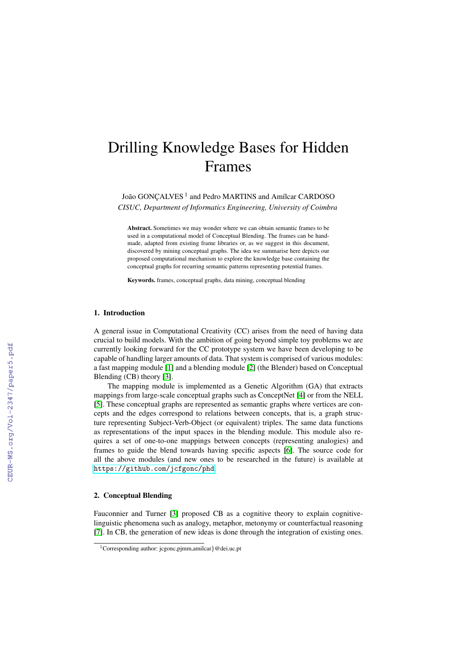# Drilling Knowledge Bases for Hidden Frames

João GONÇALVES<sup>1</sup> and Pedro MARTINS and Amílcar CARDOSO *CISUC, Department of Informatics Engineering, University of Coimbra*

Abstract. Sometimes we may wonder where we can obtain semantic frames to be used in a computational model of Conceptual Blending. The frames can be handmade, adapted from existing frame libraries or, as we suggest in this document, discovered by mining conceptual graphs. The idea we summarise here depicts our proposed computational mechanism to explore the knowledge base containing the conceptual graphs for recurring semantic patterns representing potential frames.

Keywords. frames, conceptual graphs, data mining, conceptual blending

### 1. Introduction

A general issue in Computational Creativity (CC) arises from the need of having data crucial to build models. With the ambition of going beyond simple toy problems we are currently looking forward for the CC prototype system we have been developing to be capable of handling larger amounts of data. That system is comprised of various modules: a fast mapping module [\[1\]](#page--1-0) and a blending module [\[2\]](#page--1-1) (the Blender) based on Conceptual Blending (CB) theory [\[3\]](#page--1-2).

The mapping module is implemented as a Genetic Algorithm (GA) that extracts mappings from large-scale conceptual graphs such as ConceptNet [\[4\]](#page--1-3) or from the NELL [\[5\]](#page--1-4). These conceptual graphs are represented as semantic graphs where vertices are concepts and the edges correspond to relations between concepts, that is, a graph structure representing Subject-Verb-Object (or equivalent) triples. The same data functions as representations of the input spaces in the blending module. This module also requires a set of one-to-one mappings between concepts (representing analogies) and frames to guide the blend towards having specific aspects [\[6\]](#page--1-5). The source code for all the above modules (and new ones to be researched in the future) is available at <https://github.com/jcfgonc/phd>.

# 2. Conceptual Blending

Fauconnier and Turner [\[3\]](#page--1-2) proposed CB as a cognitive theory to explain cognitivelinguistic phenomena such as analogy, metaphor, metonymy or counterfactual reasoning [\[7\]](#page--1-6). In CB, the generation of new ideas is done through the integration of existing ones.

<sup>&</sup>lt;sup>1</sup>Corresponding author: jcgonc,pjmm,amilcar}@dei.uc.pt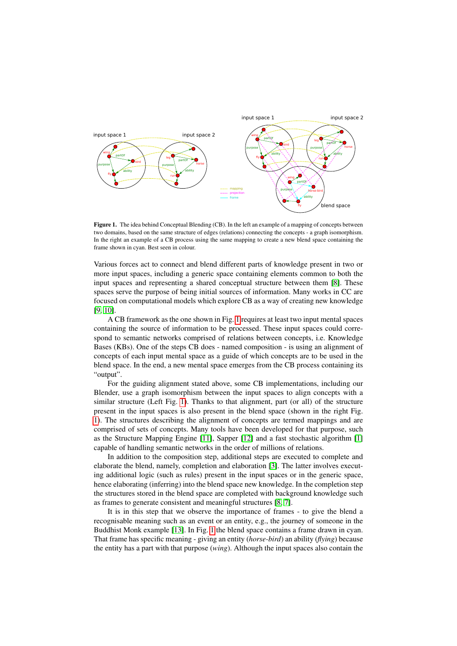<span id="page-1-0"></span>

Figure 1. The idea behind Conceptual Blending (CB). In the left an example of a mapping of concepts between two domains, based on the same structure of edges (relations) connecting the concepts - a graph isomorphism. In the right an example of a CB process using the same mapping to create a new blend space containing the frame shown in cyan. Best seen in colour.

Various forces act to connect and blend different parts of knowledge present in two or more input spaces, including a generic space containing elements common to both the input spaces and representing a shared conceptual structure between them [\[8\]](#page-8-0). These spaces serve the purpose of being initial sources of information. Many works in CC are focused on computational models which explore CB as a way of creating new knowledge [\[9,](#page-8-1) [10\]](#page-8-2).

A CB framework as the one shown in Fig. [1](#page-1-0) requires at least two input mental spaces containing the source of information to be processed. These input spaces could correspond to semantic networks comprised of relations between concepts, i.e. Knowledge Bases (KBs). One of the steps CB does - named composition - is using an alignment of concepts of each input mental space as a guide of which concepts are to be used in the blend space. In the end, a new mental space emerges from the CB process containing its "output".

For the guiding alignment stated above, some CB implementations, including our Blender, use a graph isomorphism between the input spaces to align concepts with a similar structure (Left Fig. [1\)](#page-1-0). Thanks to that alignment, part (or all) of the structure present in the input spaces is also present in the blend space (shown in the right Fig. [1\)](#page-1-0). The structures describing the alignment of concepts are termed mappings and are comprised of sets of concepts. Many tools have been developed for that purpose, such as the Structure Mapping Engine [\[11\]](#page-8-3), Sapper [\[12\]](#page-8-4) and a fast stochastic algorithm [\[1\]](#page-7-0) capable of handling semantic networks in the order of millions of relations.

In addition to the composition step, additional steps are executed to complete and elaborate the blend, namely, completion and elaboration [\[3\]](#page-7-1). The latter involves executing additional logic (such as rules) present in the input spaces or in the generic space, hence elaborating (inferring) into the blend space new knowledge. In the completion step the structures stored in the blend space are completed with background knowledge such as frames to generate consistent and meaningful structures [\[8,](#page-8-0) [7\]](#page-8-5).

It is in this step that we observe the importance of frames - to give the blend a recognisable meaning such as an event or an entity, e.g., the journey of someone in the Buddhist Monk example [\[13\]](#page-8-6). In Fig. [1](#page-1-0) the blend space contains a frame drawn in cyan. That frame has specific meaning - giving an entity (*horse-bird*) an ability (*flying*) because the entity has a part with that purpose (*wing*). Although the input spaces also contain the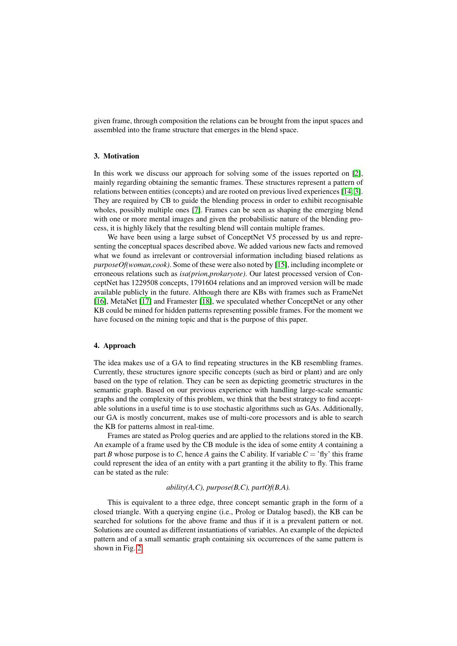given frame, through composition the relations can be brought from the input spaces and assembled into the frame structure that emerges in the blend space.

## 3. Motivation

In this work we discuss our approach for solving some of the issues reported on [\[2\]](#page-7-2), mainly regarding obtaining the semantic frames. These structures represent a pattern of relations between entities (concepts) and are rooted on previous lived experiences [\[14,](#page-8-7) [3\]](#page-7-1). They are required by CB to guide the blending process in order to exhibit recognisable wholes, possibly multiple ones [\[7\]](#page-8-5). Frames can be seen as shaping the emerging blend with one or more mental images and given the probabilistic nature of the blending process, it is highly likely that the resulting blend will contain multiple frames.

We have been using a large subset of ConceptNet V5 processed by us and representing the conceptual spaces described above. We added various new facts and removed what we found as irrelevant or controversial information including biased relations as *purposeOf(woman,cook)*. Some of these were also noted by [\[15\]](#page-8-8), including incomplete or erroneous relations such as *isa(prion,prokaryote)*. Our latest processed version of ConceptNet has 1229508 concepts, 1791604 relations and an improved version will be made available publicly in the future. Although there are KBs with frames such as FrameNet [\[16\]](#page-8-9), MetaNet [\[17\]](#page-8-10) and Framester [\[18\]](#page-8-11), we speculated whether ConceptNet or any other KB could be mined for hidden patterns representing possible frames. For the moment we have focused on the mining topic and that is the purpose of this paper.

## 4. Approach

The idea makes use of a GA to find repeating structures in the KB resembling frames. Currently, these structures ignore specific concepts (such as bird or plant) and are only based on the type of relation. They can be seen as depicting geometric structures in the semantic graph. Based on our previous experience with handling large-scale semantic graphs and the complexity of this problem, we think that the best strategy to find acceptable solutions in a useful time is to use stochastic algorithms such as GAs. Additionally, our GA is mostly concurrent, makes use of multi-core processors and is able to search the KB for patterns almost in real-time.

Frames are stated as Prolog queries and are applied to the relations stored in the KB. An example of a frame used by the CB module is the idea of some entity *A* containing a part *B* whose purpose is to *C*, hence *A* gains the *C* ability. If variable  $C =$  'fly' this frame could represent the idea of an entity with a part granting it the ability to fly. This frame can be stated as the rule:

## *ability(A,C), purpose(B,C), partOf(B,A).*

This is equivalent to a three edge, three concept semantic graph in the form of a closed triangle. With a querying engine (i.e., Prolog or Datalog based), the KB can be searched for solutions for the above frame and thus if it is a prevalent pattern or not. Solutions are counted as different instantiations of variables. An example of the depicted pattern and of a small semantic graph containing six occurrences of the same pattern is shown in Fig. [2.](#page-3-0)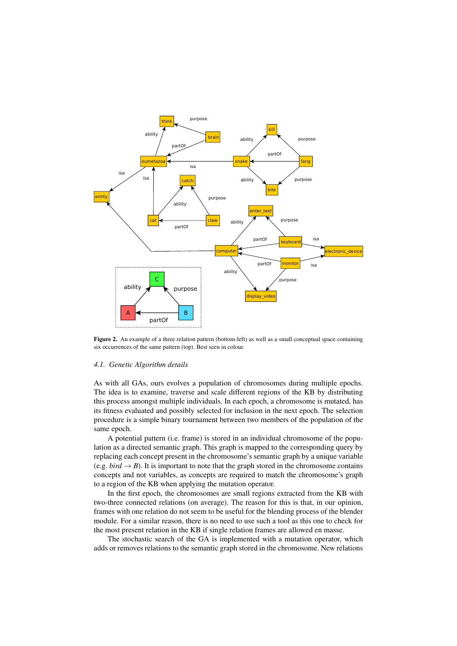<span id="page-3-0"></span>

Figure 2. An example of a three relation pattern (bottom-left) as well as a small conceptual space containing six occurrences of the same pattern (top). Best seen in colour.

#### *4.1. Genetic Algorithm details*

As with all GAs, ours evolves a population of chromosomes during multiple epochs. The idea is to examine, traverse and scale different regions of the KB by distributing this process amongst multiple individuals. In each epoch, a chromosome is mutated, has its fitness evaluated and possibly selected for inclusion in the next epoch. The selection procedure is a simple binary tournament between two members of the population of the same epoch.

A potential pattern (i.e. frame) is stored in an individual chromosome of the population as a directed semantic graph. This graph is mapped to the corresponding query by replacing each concept present in the chromosome's semantic graph by a unique variable (e.g. *bird*  $\rightarrow$  *B*). It is important to note that the graph stored in the chromosome contains concepts and not variables, as concepts are required to match the chromosome's graph to a region of the KB when applying the mutation operator.

In the first epoch, the chromosomes are small regions extracted from the KB with two-three connected relations (on average). The reason for this is that, in our opinion, frames with one relation do not seem to be useful for the blending process of the blender module. For a similar reason, there is no need to use such a tool as this one to check for the most present relation in the KB if single relation frames are allowed en masse.

The stochastic search of the GA is implemented with a mutation operator, which adds or removes relations to the semantic graph stored in the chromosome. New relations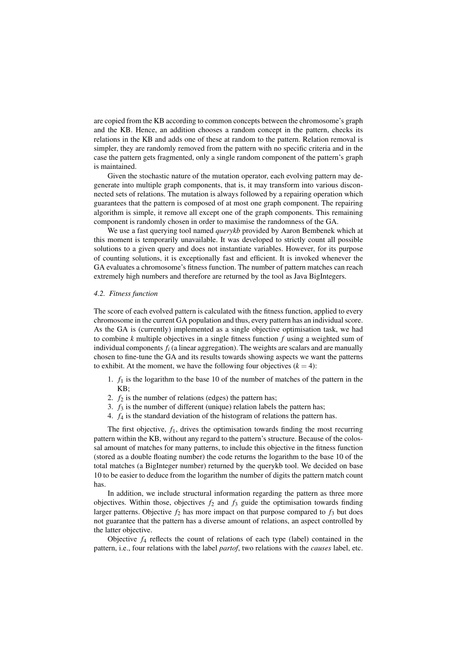are copied from the KB according to common concepts between the chromosome's graph and the KB. Hence, an addition chooses a random concept in the pattern, checks its relations in the KB and adds one of these at random to the pattern. Relation removal is simpler, they are randomly removed from the pattern with no specific criteria and in the case the pattern gets fragmented, only a single random component of the pattern's graph is maintained.

Given the stochastic nature of the mutation operator, each evolving pattern may degenerate into multiple graph components, that is, it may transform into various disconnected sets of relations. The mutation is always followed by a repairing operation which guarantees that the pattern is composed of at most one graph component. The repairing algorithm is simple, it remove all except one of the graph components. This remaining component is randomly chosen in order to maximise the randomness of the GA.

We use a fast querying tool named *querykb* provided by Aaron Bembenek which at this moment is temporarily unavailable. It was developed to strictly count all possible solutions to a given query and does not instantiate variables. However, for its purpose of counting solutions, it is exceptionally fast and efficient. It is invoked whenever the GA evaluates a chromosome's fitness function. The number of pattern matches can reach extremely high numbers and therefore are returned by the tool as Java BigIntegers.

### *4.2. Fitness function*

The score of each evolved pattern is calculated with the fitness function, applied to every chromosome in the current GA population and thus, every pattern has an individual score. As the GA is (currently) implemented as a single objective optimisation task, we had to combine *k* multiple objectives in a single fitness function *f* using a weighted sum of individual components  $f_i$  (a linear aggregation). The weights are scalars and are manually chosen to fine-tune the GA and its results towards showing aspects we want the patterns to exhibit. At the moment, we have the following four objectives  $(k = 4)$ :

- 1.  $f_1$  is the logarithm to the base 10 of the number of matches of the pattern in the KB;
- 2.  $f_2$  is the number of relations (edges) the pattern has;
- 3.  $f_3$  is the number of different (unique) relation labels the pattern has;
- 4. *f*<sup>4</sup> is the standard deviation of the histogram of relations the pattern has.

The first objective, *f*1, drives the optimisation towards finding the most recurring pattern within the KB, without any regard to the pattern's structure. Because of the colossal amount of matches for many patterns, to include this objective in the fitness function (stored as a double floating number) the code returns the logarithm to the base 10 of the total matches (a BigInteger number) returned by the querykb tool. We decided on base 10 to be easier to deduce from the logarithm the number of digits the pattern match count has.

In addition, we include structural information regarding the pattern as three more objectives. Within those, objectives  $f_2$  and  $f_3$  guide the optimisation towards finding larger patterns. Objective  $f_2$  has more impact on that purpose compared to  $f_3$  but does not guarantee that the pattern has a diverse amount of relations, an aspect controlled by the latter objective.

Objective *f*<sup>4</sup> reflects the count of relations of each type (label) contained in the pattern, i.e., four relations with the label *partof*, two relations with the *causes* label, etc.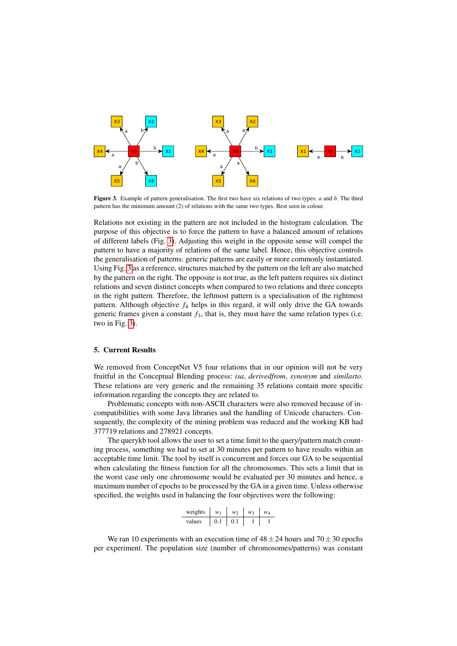<span id="page-5-0"></span>

Figure 3. Example of pattern generalisation. The first two have six relations of two types: *a* and *b*. The third pattern has the minimum amount (2) of relations with the same two types. Best seen in colour.

Relations not existing in the pattern are not included in the histogram calculation. The purpose of this objective is to force the pattern to have a balanced amount of relations of different labels (Fig. [3\)](#page-5-0). Adjusting this weight in the opposite sense will compel the pattern to have a majority of relations of the same label. Hence, this objective controls the generalisation of patterns: generic patterns are easily or more commonly instantiated. Using Fig. [3](#page-5-0) as a reference, structures matched by the pattern on the left are also matched by the pattern on the right. The opposite is not true, as the left pattern requires six distinct relations and seven distinct concepts when compared to two relations and three concepts in the right pattern. Therefore, the leftmost pattern is a specialisation of the rightmost pattern. Although objective  $f_4$  helps in this regard, it will only drive the GA towards generic frames given a constant  $f_3$ , that is, they must have the same relation types (i.e. two in Fig. [3\)](#page-5-0).

# 5. Current Results

We removed from ConceptNet V5 four relations that in our opinion will not be very fruitful in the Conceptual Blending process: *isa*, *derivedfrom*, *synonym* and *similarto*. These relations are very generic and the remaining 35 relations contain more specific information regarding the concepts they are related to.

Problematic concepts with non-ASCII characters were also removed because of incompatibilities with some Java libraries and the handling of Unicode characters. Consequently, the complexity of the mining problem was reduced and the working KB had 377719 relations and 278921 concepts.

The querykb tool allows the user to set a time limit to the query/pattern match counting process, something we had to set at 30 minutes per pattern to have results within an acceptable time limit. The tool by itself is concurrent and forces our GA to be sequential when calculating the fitness function for all the chromosomes. This sets a limit that in the worst case only one chromosome would be evaluated per 30 minutes and hence, a maximum number of epochs to be processed by the GA in a given time. Unless otherwise specified, the weights used in balancing the four objectives were the following:

| weights | $W_1$ | w   | w٦ | $W_4$ |
|---------|-------|-----|----|-------|
| values  | 0.1   | 0.1 |    |       |

We ran 10 experiments with an execution time of  $48 \pm 24$  hours and  $70 \pm 30$  epochs per experiment. The population size (number of chromosomes/patterns) was constant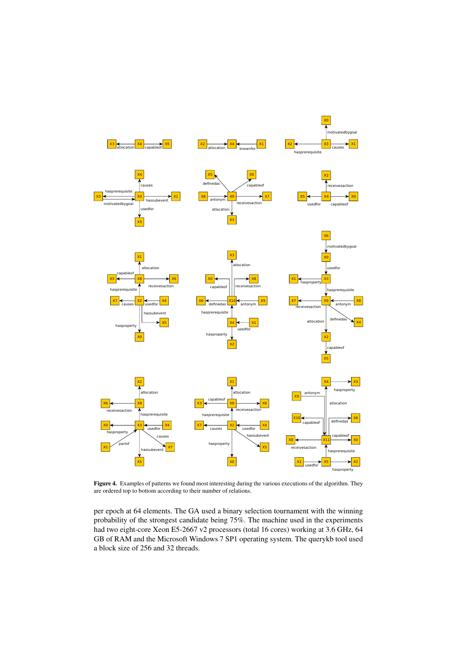<span id="page-6-0"></span>

Figure 4. Examples of patterns we found most interesting during the various executions of the algorithm. They are ordered top to bottom according to their number of relations.

per epoch at 64 elements. The GA used a binary selection tournament with the winning probability of the strongest candidate being 75%. The machine used in the experiments had two eight-core Xeon E5-2667 v2 processors (total 16 cores) working at 3.6 GHz, 64 GB of RAM and the Microsoft Windows 7 SP1 operating system. The querykb tool used a block size of 256 and 32 threads.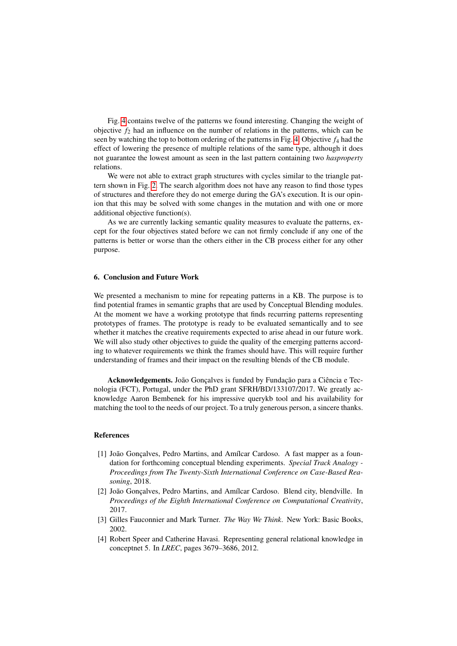Fig. [4](#page-6-0) contains twelve of the patterns we found interesting. Changing the weight of objective  $f_2$  had an influence on the number of relations in the patterns, which can be seen by watching the top to bottom ordering of the patterns in Fig. [4.](#page-6-0) Objective  $f_4$  had the effect of lowering the presence of multiple relations of the same type, although it does not guarantee the lowest amount as seen in the last pattern containing two *hasproperty* relations.

We were not able to extract graph structures with cycles similar to the triangle pattern shown in Fig. [2.](#page-3-0) The search algorithm does not have any reason to find those types of structures and therefore they do not emerge during the GA's execution. It is our opinion that this may be solved with some changes in the mutation and with one or more additional objective function(s).

As we are currently lacking semantic quality measures to evaluate the patterns, except for the four objectives stated before we can not firmly conclude if any one of the patterns is better or worse than the others either in the CB process either for any other purpose.

## 6. Conclusion and Future Work

We presented a mechanism to mine for repeating patterns in a KB. The purpose is to find potential frames in semantic graphs that are used by Conceptual Blending modules. At the moment we have a working prototype that finds recurring patterns representing prototypes of frames. The prototype is ready to be evaluated semantically and to see whether it matches the creative requirements expected to arise ahead in our future work. We will also study other objectives to guide the quality of the emerging patterns according to whatever requirements we think the frames should have. This will require further understanding of frames and their impact on the resulting blends of the CB module.

Acknowledgements. João Gonçalves is funded by Fundação para a Ciência e Tecnologia (FCT), Portugal, under the PhD grant SFRH/BD/133107/2017. We greatly acknowledge Aaron Bembenek for his impressive querykb tool and his availability for matching the tool to the needs of our project. To a truly generous person, a sincere thanks.

# References

- <span id="page-7-0"></span>[1] João Gonçalves, Pedro Martins, and Amílcar Cardoso. A fast mapper as a foundation for forthcoming conceptual blending experiments. *Special Track Analogy - Proceedings from The Twenty-Sixth International Conference on Case-Based Reasoning*, 2018.
- <span id="page-7-2"></span>[2] João Gonçalves, Pedro Martins, and Amílcar Cardoso. Blend city, blendville. In *Proceedings of the Eighth International Conference on Computational Creativity*, 2017.
- <span id="page-7-1"></span>[3] Gilles Fauconnier and Mark Turner. *The Way We Think*. New York: Basic Books, 2002.
- [4] Robert Speer and Catherine Havasi. Representing general relational knowledge in conceptnet 5. In *LREC*, pages 3679–3686, 2012.